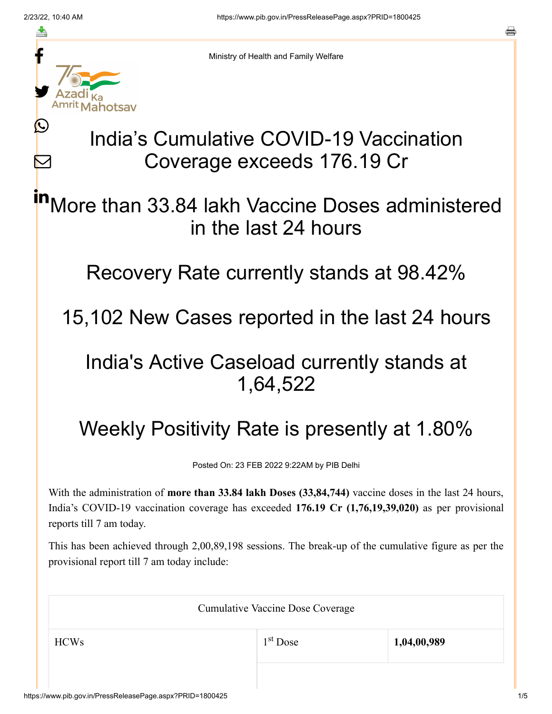f

≛

Ŀ

 $\bm{\nabla}$ 

<sup>nrit</sup> Mahotsav

Ministry of Health and Family Welfare

# India's Cumulative COVID-19 Vaccination Coverage exceeds 176.19 Cr

More than 33.84 lakh Vaccine Doses administered in the last 24 hours in

Recovery Rate currently stands at 98.42%

15,102 New Cases reported in the last 24 hours

### India's Active Caseload currently stands at 1,64,522

## Weekly Positivity Rate is presently at 1.80%

Posted On: 23 FEB 2022 9:22AM by PIB Delhi

With the administration of **more than 33.84 lakh Doses (33,84,744)** vaccine doses in the last 24 hours, India's COVID-19 vaccination coverage has exceeded **176.19 Cr (1,76,19,39,020)** as per provisional reports till 7 am today.

This has been achieved through 2,00,89,198 sessions. The break-up of the cumulative figure as per the provisional report till 7 am today include:

| <b>Cumulative Vaccine Dose Coverage</b> |                      |             |  |
|-----------------------------------------|----------------------|-------------|--|
| <b>HCWs</b>                             | 1 <sup>st</sup> Dose | 1,04,00,989 |  |
|                                         |                      |             |  |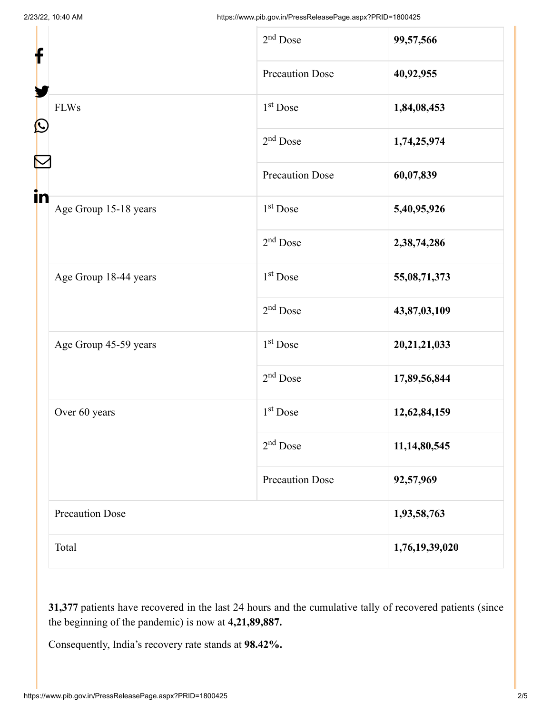| f<br>$\mathbf{\Omega}$<br>in |                        | $2nd$ Dose             | 99,57,566      |
|------------------------------|------------------------|------------------------|----------------|
|                              |                        | <b>Precaution Dose</b> | 40,92,955      |
|                              | <b>FLWs</b>            | $1st$ Dose             | 1,84,08,453    |
|                              |                        | $2nd$ Dose             | 1,74,25,974    |
|                              |                        | <b>Precaution Dose</b> | 60,07,839      |
|                              | Age Group 15-18 years  | 1 <sup>st</sup> Dose   | 5,40,95,926    |
|                              |                        | $2nd$ Dose             | 2,38,74,286    |
|                              | Age Group 18-44 years  | 1 <sup>st</sup> Dose   | 55,08,71,373   |
|                              |                        | $2nd$ Dose             | 43,87,03,109   |
|                              | Age Group 45-59 years  | 1 <sup>st</sup> Dose   | 20,21,21,033   |
|                              |                        | $2nd$ Dose             | 17,89,56,844   |
|                              | Over 60 years          | $1st$ Dose             | 12,62,84,159   |
|                              |                        | $2nd$ Dose             | 11,14,80,545   |
|                              |                        | <b>Precaution Dose</b> | 92,57,969      |
|                              | <b>Precaution Dose</b> |                        | 1,93,58,763    |
|                              | Total                  |                        | 1,76,19,39,020 |
|                              |                        |                        |                |

**31,377** patients have recovered in the last 24 hours and the cumulative tally of recovered patients (since the beginning of the pandemic) is now at **4,21,89,887.**

Consequently, India's recovery rate stands at **98.42%.**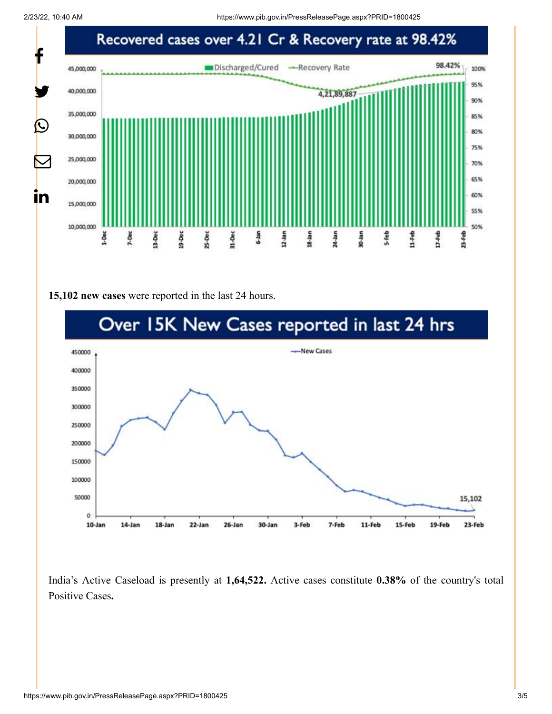2/23/22, 10:40 AM https://www.pib.gov.in/PressReleasePage.aspx?PRID=1800425



#### **15,102 new cases** were reported in the last 24 hours.



India's Active Caseload is presently at **1,64,522.** Active cases constitute **0.38%** of the country's total Positive Cases**.**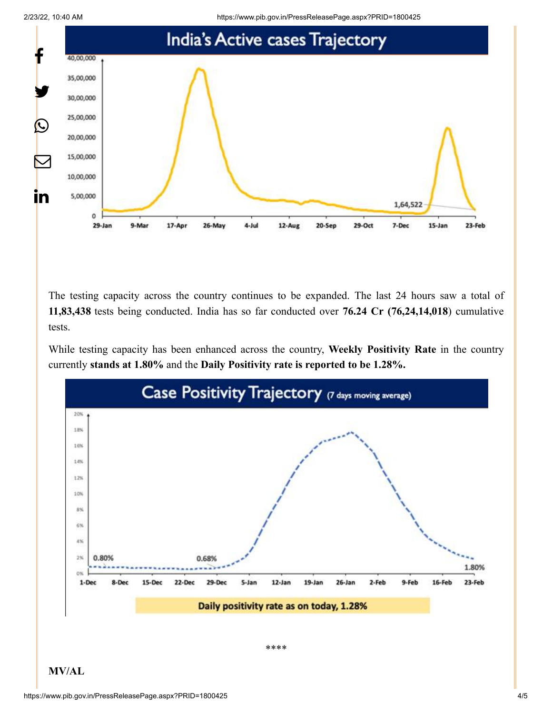



The testing capacity across the country continues to be expanded. The last 24 hours saw a total of **11,83,438** tests being conducted. India has so far conducted over **76.24 Cr (76,24,14,018**) cumulative tests.

While testing capacity has been enhanced across the country, **Weekly Positivity Rate** in the country currently **stands at 1.80%** and the **Daily Positivity rate is reported to be 1.28%.**



**MV/AL**